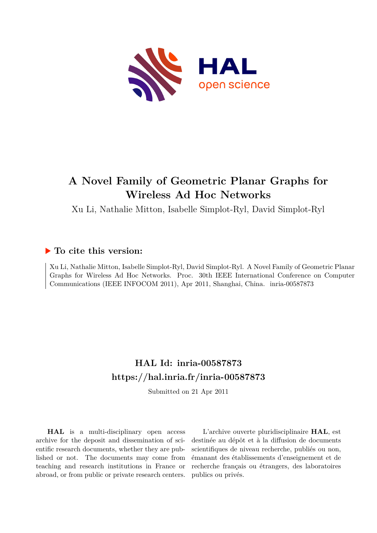

## **A Novel Family of Geometric Planar Graphs for Wireless Ad Hoc Networks**

Xu Li, Nathalie Mitton, Isabelle Simplot-Ryl, David Simplot-Ryl

### **To cite this version:**

Xu Li, Nathalie Mitton, Isabelle Simplot-Ryl, David Simplot-Ryl. A Novel Family of Geometric Planar Graphs for Wireless Ad Hoc Networks. Proc. 30th IEEE International Conference on Computer Communications (IEEE INFOCOM 2011), Apr 2011, Shanghai, China. inria-00587873

### **HAL Id: inria-00587873 <https://hal.inria.fr/inria-00587873>**

Submitted on 21 Apr 2011

**HAL** is a multi-disciplinary open access archive for the deposit and dissemination of scientific research documents, whether they are published or not. The documents may come from teaching and research institutions in France or abroad, or from public or private research centers.

L'archive ouverte pluridisciplinaire **HAL**, est destinée au dépôt et à la diffusion de documents scientifiques de niveau recherche, publiés ou non, émanant des établissements d'enseignement et de recherche français ou étrangers, des laboratoires publics ou privés.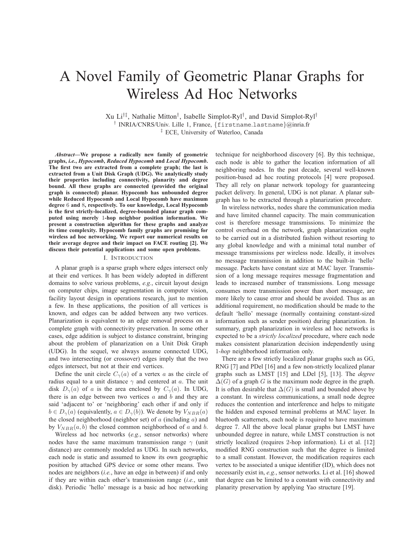# A Novel Family of Geometric Planar Graphs for Wireless Ad Hoc Networks

Xu Li†‡, Nathalie Mitton† , Isabelle Simplot-Ryl† , and David Simplot-Ryl† † INRIA/CNRS/Univ. Lille 1, France, {firstname.lastname}@inria.fr ‡ ECE, University of Waterloo, Canada

*Abstract***—We propose a radically new family of geometric graphs,** *i.e.***,** *Hypocomb***,** *Reduced Hypocomb* **and** *Local Hypocomb***. The first two are extracted from a complete graph; the last is extracted from a Unit Disk Graph (UDG). We analytically study their properties including connectivity, planarity and degree bound. All these graphs are connected (provided the original graph is connected) planar. Hypocomb has unbounded degree while Reduced Hypocomb and Local Hypocomb have maximum degree** 6 **and** 8**, respectively. To our knowledge, Local Hypocomb is the first strictly-localized, degree-bounded planar graph computed using merely** 1**-hop neighbor position information. We present a construction algorithm for these graphs and analyze its time complexity. Hypocomb family graphs are promising for wireless ad hoc networking. We report our numerical results on their average degree and their impact on FACE routing [2]. We discuss their potential applications and some open problems.**

#### I. INTRODUCTION

A planar graph is a sparse graph where edges intersect only at their end vertices. It has been widely adopted in different domains to solve various problems, *e.g.*, circuit layout design on computer chips, image segmentation in computer vision, facility layout design in operations research, just to mention a few. In these applications, the position of all vertices is known, and edges can be added between any two vertices. Planarization is equivalent to an edge removal process on a complete graph with connectivity preservation. In some other cases, edge addition is subject to distance constraint, bringing about the problem of planarization on a Unit Disk Graph (UDG). In the sequel, we always assume connected UDG, and two intersecting (or crossover) edges imply that the two edges intersect, but not at their end vertices.

Define the unit circle  $C_{\gamma}(a)$  of a vertex a as the circle of radius equal to a unit distance  $\gamma$  and centered at a. The unit disk  $D_{\gamma}(a)$  of a is the area enclosed by  $C_{\gamma}(a)$ . In UDG, there is an edge between two vertices  $a$  and  $b$  and they are said 'adjacent to' or 'neighboring' each other if and only if  $b \in D_{\gamma}(a)$  (equivalently,  $a \in D_{\gamma}(b)$ ). We denote by  $V_{NBR}(a)$ the closed neighborhood (neighbor set) of  $a$  (including  $a$ ) and by  $V_{NBR}(a, b)$  the closed common neighborhood of a and b.

Wireless ad hoc networks (*e.g.*, sensor networks) where nodes have the same maximum transmission range  $\gamma$  (unit distance) are commonly modeled as UDG. In such networks, each node is static and assumed to know its own geographic position by attached GPS device or some other means. Two nodes are neighbors (*i.e.*, have an edge in between) if and only if they are within each other's transmission range (*i.e.*, unit disk). Periodic 'hello' message is a basic ad hoc networking

technique for neighborhood discovery [6]. By this technique, each node is able to gather the location information of all neighboring nodes. In the past decade, several well-known position-based ad hoc routing protocols [4] were proposed. They all rely on planar network topology for guaranteeing packet delivery. In general, UDG is not planar. A planar subgraph has to be extracted through a planarization procedure.

In wireless networks, nodes share the communication media and have limited channel capacity. The main communication cost is therefore message transmissions. To minimize the control overhead on the network, graph planarization ought to be carried out in a distributed fashion without resorting to any global knowledge and with a minimal total number of message transmissions per wireless node. Ideally, it involves no message transmission in addition to the built-in 'hello' message. Packets have constant size at MAC layer. Transmission of a long message requires message fragmentation and leads to increased number of transmissions. Long message consumes more transmission power than short message, are more likely to cause error and should be avoided. Thus as an additional requirement, no modification should be made to the default 'hello' message (normally containing constant-sized information such as sender position) during planarization. In summary, graph planarization in wireless ad hoc networks is expected to be a *strictly localized* procedure, where each node makes consistent planarization decision independently using 1*-hop* neighborhood information only.

There are a few strictly localized planar graphs such as GG, RNG [7] and PDel [16] and a few non-strictly localized planar graphs such as LMST [15] and LDel [5], [13]. The *degree*  $\Delta(G)$  of a graph G is the maximum node degree in the graph. It is often desirable that  $\Delta(G)$  is small and bounded above by a constant. In wireless communications, a small node degree reduces the contention and interference and helps to mitigate the hidden and exposed terminal problems at MAC layer. In bluetooth scatternets, each node is required to have maximum degree 7. All the above local planar graphs but LMST have unbounded degree in nature, while LMST construction is not strictly localized (requires 2-hop information). Li et al. [12] modified RNG construction such that the degree is limited to a small constant. However, the modification requires each vertex to be associated a unique identifier (ID), which does not necessarily exist in, *e.g.*, sensor networks. Li et al. [16] showed that degree can be limited to a constant with connectivity and planarity preservation by applying Yao structure [19].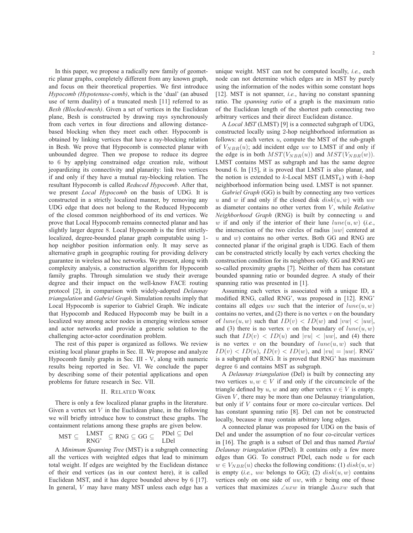In this paper, we propose a radically new family of geometric planar graphs, completely different from any known graph, and focus on their theoretical properties. We first introduce *Hypocomb (Hypotenuse-comb)*, which is the 'dual' (an abused use of term duality) of a truncated mesh [11] referred to as *Besh (Blocked-mesh)*. Given a set of vertices in the Euclidean plane, Besh is constructed by drawing rays synchronously from each vertex in four directions and allowing distancebased blocking when they meet each other. Hypocomb is obtained by linking vertices that have a ray-blocking relation in Besh. We prove that Hypocomb is connected planar with unbounded degree. Then we propose to reduce its degree to 6 by applying constrained edge creation rule, without jeopardizing its connectivity and planarity: link two vertices if and only if they have a mutual ray-blocking relation. The resultant Hypocomb is called *Reduced Hypocomb*. After that, we present *Local Hypocomb* on the basis of UDG. It is constructed in a strictly localized manner, by removing any UDG edge that does not belong to the Reduced Hypocomb of the closed common neighborhood of its end vertices. We prove that Local Hypocomb remains connected planar and has slightly larger degree 8. Local Hypocomb is the first strictlylocalized, degree-bounded planar graph computable using 1 hop neighbor position information only. It may serve as alternative graph in geographic routing for providing delivery guarantee in wireless ad hoc networks. We present, along with complexity analysis, a construction algorithm for Hypocomb family graphs. Through simulation we study their average degree and their impact on the well-know FACE routing protocol [2], in comparison with widely-adopted *Delaunay triangulation* and *Gabriel Graph*. Simulation results imply that Local Hypocomb is superior to Gabriel Graph. We indicate that Hypocomb and Reduced Hypocomb may be built in a localized way among actor nodes in emerging wireless sensor and actor networks and provide a generic solution to the challenging actor-actor coordination problem.

The rest of this paper is organized as follows. We review existing local planar graphs in Sec. II. We propose and analyze Hypocomb family graphs in Sec. III - V, along with numeric results being reported in Sec. VI. We conclude the paper by describing some of their potential applications and open problems for future research in Sec. VII.

#### II. RELATED WORK

There is only a few localized planar graphs in the literature. Given a vertex set  $V$  in the Euclidean plane, in the following we will briefly introduce how to construct these graphs. The containment relations among these graphs are given below.

$$
MST \subseteq \quad \frac{LMST}{RNG'} \subseteq RNG \subseteq GG \subseteq \quad \frac{PDel \subseteq Del}{LDel}
$$

A *Minimum Spanning Tree* (MST) is a subgraph connecting all the vertices with weighted edges that lead to minimum total weight. If edges are weighted by the Euclidean distance of their end vertices (as in our context here), it is called Euclidean MST, and it has degree bounded above by 6 [17]. In general, V may have many MST unless each edge has a

unique weight. MST can not be computed locally, *i.e.*, each node can not determine which edges are in MST by purely using the information of the nodes within some constant hops [12]. MST is not spanner, *i.e.*, having no constant spanning ratio. The *spanning ratio* of a graph is the maximum ratio of the Euclidean length of the shortest path connecting two arbitrary vertices and their direct Euclidean distance.

A *Local MST* (LMST) [9] is a connected subgraph of UDG, constructed locally using 2-hop neighborhood information as follows: at each vertex  $u$ , compute the MST of the sub-graph of  $V_{NBR}(u)$ ; add incident edge uw to LMST if and only if the edge is in both  $MST(V_{NBR}(u))$  and  $MST(V_{NBR}(w))$ . LMST contains MST as subgraph and has the same degree bound 6. In [15], it is proved that LMST is also planar, and the notion is extended to  $k$ -Local MST (LMST<sub>k</sub>) with  $k$ -hop neighborhood information being used. LMST is not spanner.

*Gabriel Graph* (GG) is built by connecting any two vertices u and w if and only if the closed disk  $disk(u, w)$  with uw as diameter contains no other vertex from V, while *Relative Neighborhood Graph* (RNG) is built by connecting u and w if and only if the interior of their lune  $lune(u, w)$  (*i.e.*, the intersection of the two circles of radius  $|uw|$  centered at  $u$  and  $w$ ) contains no other vertex. Both GG and RNG are connected planar if the original graph is UDG. Each of them can be constructed strictly locally by each vertex checking the construction condition for its neighbors only. GG and RNG are so-called proximity graphs [7]. Neither of them has constant bounded spanning ratio or bounded degree. A study of their spanning ratio was presented in [1].

Assuming each vertex is associated with a unique ID, a modified RNG, called RNG', was proposed in [12]. RNG' contains all edges uw such that the interior of  $lune(u, w)$ contains no vertex, and  $(2)$  there is no vertex v on the boundary of  $lune(u, w)$  such that  $ID(v) < ID(w)$  and  $|vw| < |uw|$ , and (3) there is no vertex v on the boundary of  $lune(u, w)$ such that  $ID(v) < ID(u)$  and  $|vu| < |uw|$ , and (4) there is no vertex v on the boundary of  $lune(u, w)$  such that  $ID(v) < ID(u)$ ,  $ID(v) < ID(w)$ , and  $|vu| = |uw|$ . RNG' is a subgraph of RNG. It is proved that RNG' has maximum degree 6 and contains MST as subgraph.

A *Delaunay triangulation* (Del) is built by connecting any two vertices  $u, w \in V$  if and only if the circumcircle of the triangle defined by u, w and any other vertex  $v \in V$  is empty. Given  $V$ , there may be more than one Delaunay triangulation, but only if V contains four or more co-circular vertices. Del has constant spanning ratio [8]. Del can not be constructed locally, because it may contain arbitrary long edges.

A connected planar was proposed for UDG on the basis of Del and under the assumption of no four co-circular vertices in [16]. The graph is a subset of Del and thus named *Partial Delaunay triangulation* (PDel). It contains only a few more edges than GG. To construct PDel, each node  $u$  for each  $w \in V_{NBR}(u)$  checks the following conditions: (1)  $disk(u, w)$ is empty (*i.e.*, uw belongs to GG); (2)  $disk(u, w)$  contains vertices only on one side of  $uw$ , with x being one of those vertices that maximizes ∠uxw in triangle ∆uxw such that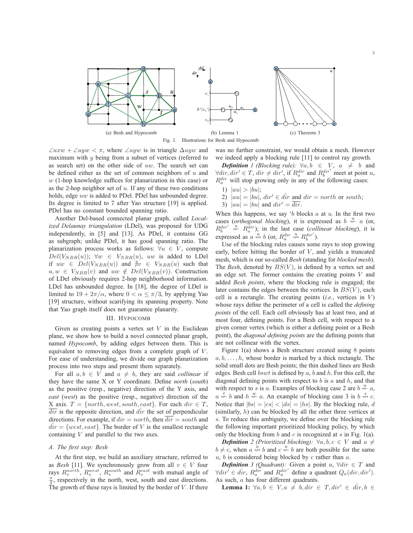

Fig. 1. Illustrations for Besh and Hypocomb

 $\angle uxw + \angle uyw < \pi$ , where  $\angle uyw$  is in triangle  $\Delta uyw$  and maximum with y being from a subset of vertices (referred to as search set) on the other side of uw. The search set can be defined either as the set of common neighbors of  $u$  and  $w$  (1-hop knowledge suffices for planarization in this case) or as the 2-hop neighbor set of  $u$ . If any of these two conditions holds, edge uw is added to PDel. PDel has unbounded degree. Its degree is limited to 7 after Yao structure [19] is applied. PDel has no constant bounded spanning ratio.

Another Del-based connected planar graph, called *Localized Delaunay triangulation* (LDel), was proposed for UDG independently, in [5] and [13]. As PDel, it contains GG as subgraph; unlike PDel, it has good spanning ratio. The planarization process works as follows:  $\forall u \in V$ , compute  $Del(V_{NBR}(u))$ ;  $\forall w \in V_{NBR}(u)$ , uw is added to LDel if  $uw \in Del(V_{NBR}(u))$  and  $\frac{1}{H}v \in V_{NBR}(u)$  such that  $u, w \in V_{NBR}(v)$  and  $uw \notin Del(V_{NBR}(v))$ . Construction of LDel obviously requires 2-hop neighborhood information. LDel has unbounded degree. In [18], the degree of LDel is limited to  $19 + 2\pi/\alpha$ , where  $0 < \alpha \leq \pi/3$ , by applying Yao [19] structure, without scarifying its spanning property. Note that Yao graph itself does not guarantee planarity.

#### III. HYPOCOMB

Given as creating points a vertex set  $V$  in the Euclidean plane, we show how to build a novel connected planar graph, named *Hypocomb*, by adding edges between them. This is equivalent to removing edges from a complete graph of V . For ease of understanding, we divide our graph planarization process into two steps and present them separately.

For all  $a, b \in V$  and  $a \neq b$ , they are said *collinear* if they have the same X or Y coordinate. Define *north* (*south*) as the positive (resp., negative) direction of the Y axis, and *east* (*west*) as the positive (resp., negative) direction of the X axis.  $T = \{north, west, south, east\}$ . For each  $dir \in T$ ,  $\overline{dir}$  is the opposite direction, and  $\overline{dir}$  the set of perpendicular directions. For example, if  $dir = north$ , then  $\overline{dir} = south$  and  $d\hat{i}r = \{west, east\}$ . The border of V is the smallest rectangle containing V and parallel to the two axes.

#### *A. The first step: Besh*

At the first step, we build an auxiliary structure, referred to as *Besh* [11]. We synchronously grow from all  $v \in V$  four rays  $R_v^{north}$ ,  $R_v^{west}$ ,  $R_v^{south}$  and  $R_v^{east}$  with mutual angle of  $\frac{\pi}{2}$ , respectively in the north, west, south and east directions. The growth of these rays is limited by the border of  $V$ . If there

was no further constraint, we would obtain a mesh. However we indeed apply a blocking rule [11] to control ray growth.

*Definition 1 (Blocking rule):*  $\forall a, b \in V, a \neq b$  and  $\forall \text{dir}, \text{dir}' \in T, \text{dir} \neq \text{dir}', \text{ if } R_a^{\text{dir}} \text{ and } R_b^{\text{dir}'} \text{ meet at point } u,$  $R_a^{dir}$  will stop growing only in any of the following cases:

- 1)  $|au| > |bu|$ ;
- 2)  $|au| = |bu|$ ,  $dir' \in \hat{dir}$  and  $dir = north$  or south;
- 3)  $|au| = |bu|$  and  $dir' = \overline{dir}$ .

When this happens, we say 'b blocks  $a$  at  $u$ . In the first two cases (*orthogonal blocking*), it is expressed as  $b \stackrel{u}{\leftarrow} a$  (or,  $R_b^{dir'} \stackrel{\text{'u}}{\nleftrightarrow} R_a^{dir}$ ; in the last case (*collinear blocking*), it is expressed as  $a \leftrightarrow b$  (or,  $R_a^{dir} \leftrightarrow R_b^{dir'}$ ).

Use of the blocking rules causes some rays to stop growing early, before hitting the border of  $V$ , and yields a truncated mesh, which is our so-called *Besh* (standing for *blocked mesh*). The *Besh*, denoted by  $BS(V)$ , is defined by a vertex set and an edge set. The former contains the creating points  $V$  and added *Besh points*, where the blocking rule is engaged; the later contains the edges between the vertices. In  $BS(V)$ , each cell is a rectangle. The creating points (*i.e.*, vertices in V) whose rays define the perimeter of a cell is called the *defining points* of the cell. Each cell obviously has at least two, and at most four, defining points. For a Besh cell, with respect to a given corner vertex (which is either a defining point or a Besh point), the *diagonal defining points* are the defining points that are not collinear with the vertex.

Figure 1(a) shows a Besh structure created using 8 points  $a, b, \ldots, h$ , whose border is marked by a thick rectangle. The solid small dots are Besh points; the thin dashed lines are Besh edges. Besh cell  $bswt$  is defined by a, b and h. For this cell, the diagonal defining points with respect to  $b$  is  $a$  and  $h$ , and that with respect to s is a. Examples of blocking case 2 are  $b \stackrel{u}{\leftarrow} a$ ,  $a \stackrel{t}{\leftarrow} b$  and  $h \stackrel{w}{\leftarrow} a$ . An example of blocking case 3 is  $b \stackrel{s}{\leftrightarrow} c$ . Notice that  $|bs| = |cs| < |ds| = |hs|$ . By the blocking rule, d (similarly, h) can be blocked by all the other three vertices at s. To reduce this ambiguity, we define over the blocking rule the following important prioritized blocking policy, by which only the blocking from b and c is recognized at s in Fig. 1(a).

*Definition* 2 (Prioritized blocking):  $\forall a, b, c \in V$  and  $a \neq$  $b \neq c$ , when  $a \stackrel{u}{\leftrightarrow} b$  and  $c \stackrel{u}{\leftrightarrow} b$  are both possible for the same  $u, b$  is considered being blocked by  $c$  rather than  $a$ .

*Definition* 3 (Quadrant): Given a point  $a, \forall \text{dir} \in T$  and  $\forall \text{dir} \in \hat{dir}, R_a^{\text{dir}}$  and  $R_a^{\text{dir}'}$  define a quadrant  $Q_a(\text{dir}, \text{dir}').$ As such, a has four different quadrants.

**Lemma 1:**  $\forall a, b \in V, a \neq b, dir \in T, dir' \in dir, b \in T$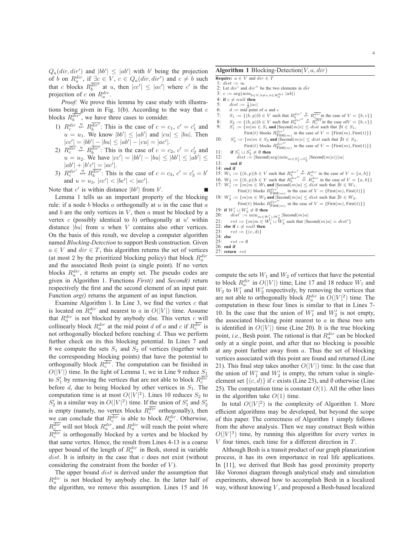$Q_a(dr, dir')$  and  $|bb'| \le |ab'|$  with b' being the projection of b on  $R_a^{dir}$ , if  $\underline{\exists c} \in V$ ,  $c \in Q_a(dr, dir')$  and  $c \neq b$  such that c blocks  $R_b^{\overline{dir'}}$  at u, then  $|cc'| \leq |ac'|$  where c' is the projection of c on  $R_a^{dir}$ .

*Proof:* We prove this lemma by case study with illustrations being given in Fig. 1(b). According to the way that  $c$ blocks  $R_b^{\overline{dir'}}$ , we have three cases to consider.

- 1)  $R_c^{dir} \stackrel{u}{\leftarrow} R_b^{dir}$ : This is the case of  $c = c_1, c' = c'_1$  and  $u = u_1$ . We know  $|bb'| \le |ab'|$  and  $|cu| \le |bu|$ . Then  $|cc'| = |bb'| - |bu| \le |ab'| - |cu| = |ac'|.$
- 2)  $R_c^{\overline{dir}} \overset{u}{\nleftrightarrow} R_b^{\overline{dir'}}$ : This is the case of  $c = c_2, c' = c'_2$  and  $u = u_2$ . We have  $|cc'| = |bb'| - |bu| \le |bb'| \le |ab'| \le |ab'|$  $|ab'| + |b'c'| = |ac'|.$
- 3)  $R_c^{dir'} \stackrel{u}{\leftrightarrow} R_b^{\overline{dir'}}$ : This is the case of  $c = c_3$ ,  $c' = c'_3 = b'$ and  $u = u_3$ .  $|cc'| < |bc'| < |ac'|$ .

Note that  $c'$  is within distance  $|bb'|$  from  $b'$ .

Lemma 1 tells us an important property of the blocking rule: if a node b blocks  $a$  orthogonally at  $u$  in the case that  $a$ and  $b$  are the only vertices in  $V$ , then  $a$  must be blocked by a vertex  $c$  (possibly identical to  $b$ ) orthogonally at  $u'$  within distance  $|bu|$  from  $u$  when  $V$  contains also other vertices. On the basis of this result, we develop a computer algorithm named *Blocking-Detection* to support Besh construction. Given  $a \in V$  and  $dir \in T$ , this algorithm returns the set of vertices (at most 2 by the prioritized blocking policy) that block  $R_a^{dir}$ and the associated Besh point (a single point). If no vertex blocks  $R_a^{dir}$ , it returns an empty set. The pseudo codes are given in Algorithm 1. Functions *First()* and *Second()* return respectively the first and the second element of an input pair. Function *arg()* returns the argument of an input function.

Examine Algorithm 1. In Line 3, we find the vertex  $c$  that is located on  $R_a^{dir}$  and nearest to a in  $O(|V|)$  time. Assume that  $R_a^{dir}$  is not blocked by anybody else. This vertex  $c$  will collinearly block  $R_a^{dir}$  at the mid point d of a and c if  $R_c^{dir}$  is not orthogonally blocked before reaching d. Thus we perform further check on its this blocking potential. In Lines 7 and 8 we compute the sets  $S_1$  and  $S_2$  of vertices (together with the corresponding blocking points) that have the potential to orthogonally block  $R_c^{dir}$ . The computation can be finished in  $O(|V|)$  time. In the light of Lemma 1, we in Line 9 reduce  $S_1$ to  $S'_1$  by removing the vertices that are not able to block  $R_c^{dir}$ before  $d$ , due to being blocked by other vertices in  $S_1$ . The computation time is at most  $O(|V|^2)$ . Lines 10 reduces  $S_2$  to  $S'_2$  in a similar way in  $O(|V|^2)$  time. If the union of  $S'_1$  and  $S'_2$ is empty (namely, no vertex blocks  $R_c^{dir}$  orthogonally), then we can conclude that  $R_c^{dir}$  is able to block  $R_a^{dir}$ . Otherwise,  $R_c^{dir}$  will not block  $R_a^{dir}$ , and  $R_a^{dir}$  will reach the point where  $R_c^{dir}$  is orthogonally blocked by a vertex and be blocked by that same vertex. Hence, the result from Lines 4-13 is a coarse upper bound of the length of  $R_a^{dir}$  in Besh, stored in variable  $dist.$  It is infinity in the case that  $c$  does not exist (without considering the constraint from the border of  $V$ ).

The upper bound *dist* is derived under the assumption that  $R_a^{dir}$  is not blocked by anybody else. In the latter half of the algorithm, we remove this assumption. Lines 15 and 16 **Require:**  $a \in V$  and  $dir \in T$ 

- 1: dist :=  $\infty$
- 2: Let  $dir'$  and  $dir''$  be the two elements in  $d\hat{i}r$
- 3:  $c := \arg(\min_{b \in V, b \neq a, b \in R_a^{dir}} |ab|)$
- 4: **if**  $c \neq null$  **then**<br>5: *dist* :=  $\frac{1}{2}$ |ac
- 5: *dist* :=  $\frac{1}{2} |ac|$
- 6:  $ds = \frac{2}{2} |ac|$ <br>6:  $d := mid point of a and c$
- 7:  $S_1 := \{(b, p) | b \in V \text{ such that } R_b^{dir'} \oplus R_{c}^{dir} \text{ in the case of } V = \{b, c\} \}$
- 
- 8:  $S_2 := \{(b, p) | b \in V \text{ such that } R_0^{div'} \stackrel{p}{\sim} R_c^{div} \text{ in the case of } V = \{b, c\} \}$ <br>9:  $S'_1 := \{m | m \in S_1 \text{ and } |\text{Second}(m)c| \leq dist \text{ such that } \nexists t \in S_1,$
- First(t) blocks  $R_{\text{First}}^{dir}$  in the case of  $V = {\text{First}(m), \text{First}(t)}$ }<br>  $\frac{V_2}{V_2} := \{m|m \in S_2 \text{ and } |\text{Second}(m)c| \leq dist \text{ such that } \nexists t \in S_2,$  $10:$
- First(t) blocks  $R_{\text{First}(m)}^{dir''}$  in the case of  $V = \{\text{First}(m), \text{First}(t)\}\}\$
- 11: **if**  $S'_1 \cup S'_2 \neq \emptyset$  then<br>  $dist := |\text{Second}(\arg(\min_{m \in S'_1 \cup S'_2} |\text{Second}(m)c|))a|$
- 13: **end if**
- 14: **end if**
- 15:  $W_1 := \{(b, p) | b \in V \text{ such that } R_b^{dir'} \stackrel{p}{\leftrightarrow} R_a^{dir} \text{ in the case of } V = \{a, b\} \}$
- 16:  $W_2 := \{(b, p) | b \in V \text{ such that } R_b^{dir''} \stackrel{p}{\leftrightarrow} R_a^{dir} \text{ in the case of } V = \{a, b\}\}\$
- 17:  $W_1^7 := \{m|m \in W_1 \text{ and } |\text{Second}(m)a| \leq d\text{ is the set that } \nexists t \in W_1,$
- First(t) blocks  $R_{\text{First}(m)}^{dir'}$  in the case of  $V = \{\text{First}(m), \text{First}(t)\}\}\$
- 18:  $W'_2 := \{m | m \in W_2 \text{ and } |\text{Second}(m)a| \leq dist \text{ such that } \nexists t \in W_2,$ First(t) blocks  $R_{\text{First}(m)}^{dir''}$  in the case of  $V = \{\text{First}(m), \text{First}(t)\}\}\$
- 19: **if**  $W'_1 \cup W'_2 \neq \emptyset$  then
- 22:  $dist' := \min_{m \in W_1' \cup W_2'} |\text{Second}(m)a|$
- 21:  $ret := \{m | m \in W_1' \cup W_2' \text{ such that } |\text{Second}(m)a| = dist'\}\$
- 22: **else if**  $c \neq null$  **then**<br>23:  $ret := \{(c, d)\}$
- $ret := \{(c, d)\}$
- 24: **else**  $ret := \emptyset$
- 26: **end if**
- 27: **return** ret

compute the sets  $W_1$  and  $W_2$  of vertices that have the potential to block  $R_a^{dir}$  in  $O(|V|)$  time; Line 17 and 18 reduce  $W_1$  and  $W_2$  to  $W'_1$  and  $W'_2$  respectively, by removing the vertices that are not able to orthogonally block  $R_a^{dir}$  in  $O(|V|^2)$  time. The computation in these four lines is similar to that in Lines 7- 10. In the case that the union of  $W'_1$  and  $W'_2$  is not empty, the associated blocking point nearest to  $a$  in these two sets is identified in  $O(|V|)$  time (Line 20). It is the true blocking point, *i.e.*, Besh point. The rational is that  $R_a^{dir}$  can be blocked only at a single point, and after that no blocking is possible at any point further away from  $a$ . Thus the set of blocking vertices associated with this point are found and returned (Line 21). This final step takes another  $O(|V|)$  time. In the case that the union of  $W'_1$  and  $W'_2$  is empty, the return value is singleelement set  $\{(c, d)\}\$ if c exists (Line 23), and Ø otherwise (Line 25). The computation time is constant  $O(1)$ . All the other lines in the algorithm take  $O(1)$  time.

In total  $O(|V|^2)$  is the complexity of Algorithm 1. More efficient algorithms may be developed, but beyond the scope of this paper. The correctness of Algorithm 1 simply follows from the above analysis. Then we may construct Besh within  $O(|V|^3)$  time, by running this algorithm for every vertex in V four times, each time for a different direction in T.

Although Besh is a transit product of our graph planarization process, it has its own importance in real life applications. In [11], we derived that Besh has good proximity property like Voronoi diagram through analytical study and simulation experiments, showed how to accomplish Besh in a localized way, without knowing  $V$ , and proposed a Besh-based localized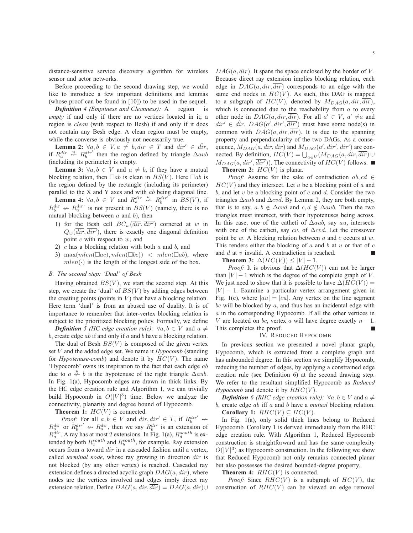distance-sensitive service discovery algorithm for wireless sensor and actor networks.

Before proceeding to the second drawing step, we would like to introduce a few important definitions and lemmas (whose proof can be found in [10]) to be used in the sequel.

*Definition 4 (Emptiness and Cleanness):* A region is *empty* if and only if there are no vertices located in it; a region is *clean* (with respect to Besh) if and only if it does not contain any Besh edge. A clean region must be empty, while the converse is obviously not necessarily true.

**Lemma 2:**  $\forall a, b \in V, a \neq b, dir \in T$  and  $dir' \in dir$ , if  $R_a^{dir}$   $\overset{u}{\leftarrow}$   $R_b^{dir'}$  then the region defined by triangle  $\Delta aub$ (including its perimeter) is empty.

**Lemma 3:**  $\forall a, b \in V$  and  $a \neq b$ , if they have a mutual blocking relation, then  $\Box ab$  is clean in  $BS(V)$ . Here  $\Box ab$  is the region defined by the rectangle (including its perimeter) parallel to the X and Y axes and with ab being diagonal line.

**Lemma 4:**  $\forall a, b \in V$  and  $R_a^{dir} \notin R_b^{dir}$  in  $BS(V)$ , if **Lemma 4:**  $\forall a, b \in V$  and  $R_a \leftrightarrow R_b$  in  $B_0(V)$ , in<br>  $R_b^{\overline{dir}} \leftrightarrow R_a^{\overline{dir}}$  is not present in  $BS(V)$  (namely, there is no mutual blocking between  $a$  and  $b$ ), then

- 1) for the Besh cell  $BC_w(\overline{dir}, \overline{dir'})$  cornered at w in  $Q_w(\overline{dir}, \overline{dir}')$ , there is exactly one diagonal definition point  $c$  with respect to  $w$ , and
- 2) c has a blocking relation with both  $a$  and  $b$ , and
- 3) max $(mlen(\Box ac), mlen(\Box bc)) < mlen(\Box ab)$ , where  $mlen(\cdot)$  is the length of the longest side of the box.

#### *B. The second step: 'Dual' of Besh*

Having obtained  $BS(V)$ , we start the second step. At this step, we create the 'dual' of  $BS(V)$  by adding edges between the creating points (points in  $V$ ) that have a blocking relation. Here term 'dual' is from an abused use of duality. It is of importance to remember that inter-vertex blocking relation is subject to the prioritized blocking policy. Formally, we define

*Definition* 5 (HC edge creation rule):  $\forall a, b \in V$  and  $a \neq$ b, create edge  $ab$  if and only if  $a$  and  $b$  have a blocking relation.

The dual of Besh  $BS(V)$  is composed of the given vertex set V and the added edge set. We name it *Hypocomb* (standing for *Hypotenuse-comb*) and denote it by  $HC(V)$ . The name 'Hypocomb' owns its inspiration to the fact that each edge ab due to  $a \stackrel{u}{\leftarrow} b$  is the hypotenuse of the right triangle  $\Delta aub$ . In Fig. 1(a), Hypocomb edges are drawn in thick links. By the HC edge creation rule and Algorithm 1, we can trivially build Hypocomb in  $O(|V|^3)$  time. Below we analyze the connectivity, planarity and degree bound of Hypocomb.

**Theorem 1:**  $HC(V)$  is connected.

*Proof:* For all  $a, b \in V$  and  $dir, dir' \in T$ , if  $R_b^{dir'} \nleftrightarrow$  $R_a^{dir}$  or  $R_b^{dir'} \nleftrightarrow R_a^{dir}$ , then we say  $R_b^{dir}$  is an extension of  $R_a^{dir}$ . A ray has at most 2 extensions. In Fig. 1(a),  $R_a^{south}$  is extended by both  $R_c^{south}$  and  $R_b^{south}$ , for example. Ray extension occurs from a toward dir in a cascaded fashion until a vertex, called *terminal node*, whose ray growing in direction dir is not blocked (by any other vertex) is reached. Cascaded ray extension defines a directed acyclic graph  $DAG(a, dir)$ , where nodes are the vertices involved and edges imply direct ray extension relation. Define  $DAG(a, dir, \overline{dir}) = DAG(a, dir) \cup$ 

 $DAG(a, \overline{dir})$ . It spans the space enclosed by the border of V. Because direct ray extension implies blocking relation, each edge in  $DAG(a, dir, dir)$  corresponds to an edge with the same end nodes in  $HC(V)$ . As such, this DAG is mapped to a subgraph of  $HC(V)$ , denoted by  $M_{DAG}(a, dir, dir)$ , which is connected due to the reachability from  $a$  to every other node in  $DAG(a, dir, \overline{dir})$ . For all  $a' \in V$ ,  $a' \neq a$  and  $dir' \in \hat{dir}$ ,  $DAG(a', dir', \overline{dir'})$  must have some node(s) in common with  $DAG(a, dir, \overline{dir})$ . It is due to the spanning property and perpendicularity of the two DAGs. As a consequence,  $M_{DAG}(a, dir, \overline{dir})$  and  $M_{DAG}(a', dir', \overline{dir'})$  are connected. By definition,  $HC(V) = \bigcup_{a \in V} (M_{DAG}(a, dir, dir) \cup$  $M_{DAG}(a, dir', \overline{dir'})$ ). The connectivity of  $HC(V)$  follows. **Theorem 2:**  $HC(V)$  is planar.

*Proof:* Assume for the sake of contradiction  $ab, cd \in$  $HC(V)$  and they intersect. Let u be a blocking point of a and  $b$ , and let  $v$  be a blocking point of  $c$  and  $d$ . Consider the two triangles  $\Delta aub$  and  $\Delta cvd$ . By Lemma 2, they are both empty, that is to say,  $a, b \notin \Delta cvd$  and  $c, d \notin \Delta aub$ . Then the two triangles must intersect, with their hypotenuses being across. In this case, one of the catheti of  $\Delta aub$ , say au, intersects with one of the catheti, say cv, of  $\Delta cvd$ . Let the crossover point be w. A blocking relation between  $a$  and  $c$  occurs at  $w$ . This renders either the blocking of  $a$  and  $b$  at  $u$  or that of  $c$ and d at v invalid. A contradiction is reached.

**Theorem 3:**  $\Delta(HC(V)) \leq |V| - 1$ .

*Proof:* It is obvious that  $\Delta(HC(V))$  can not be larger than  $|V| - 1$  which is the degree of the complete graph of V. We just need to show that it is possible to have  $\Delta(HC(V))$  =  $|V| - 1$ . Examine a particular vertex arrangement given in Fig. 1(c), where  $|au| = |cu|$ . Any vertex on the line segment bc will be blocked by  $a$ , and thus has an incidental edge with a in the corresponding Hypocomb. If all the other vertices in V are located on bc, vertex a will have degree exactly  $n - 1$ . This completes the proof. п

#### IV. REDUCED HYPOCOMB

In previous section we presented a novel planar graph, Hypocomb, which is extracted from a complete graph and has unbounded degree. In this section we simplify Hypocomb, reducing the number of edges, by applying a constrained edge creation rule (see Definition 6) at the second drawing step. We refer to the resultant simplified Hypocomb as *Reduced Hypocomb* and denote it by  $RHC(V)$ .

*Definition* 6 (RHC edge creation rule):  $\forall a, b \in V$  and  $a \neq$ b, create edge ab iff a and b have a *mutual* blocking relation. **Corollary 1:**  $RHC(V) \subseteq HC(V)$ .

In Fig. 1(a), only solid thick lines belong to Reduced Hypocomb. Corollary 1 is derived immediately from the RHC edge creation rule. With Algorithm 1, Reduced Hypocomb construction is straightforward and has the same complexity  $O(|V|^3)$  as Hypocomb construction. In the following we show that Reduced Hypocomb not only remains connected planar but also possesses the desired bounded-degree property.

**Theorem 4:**  $RHC(V)$  is connected.

*Proof:* Since  $RHC(V)$  is a subgraph of  $HC(V)$ , the construction of  $RHC(V)$  can be viewed an edge removal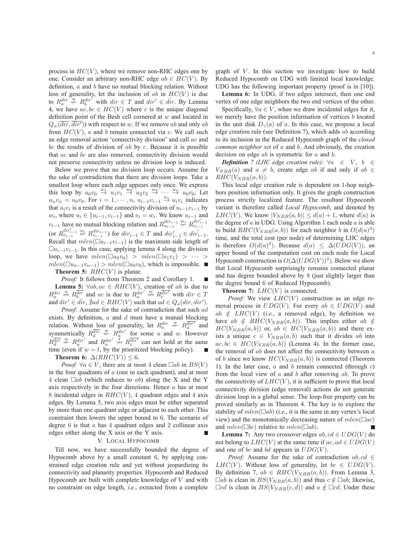process in  $HC(V)$ , where we remove non-RHC edges one by one. Consider an arbitrary non-RHC edge  $ab \in HC(V)$ . By definition, a and b have no mutual blocking relation. Without loss of generality, let the inclusion of ab in  $HC(V)$  is due to  $R_a^{dir} \stackrel{w}{\nleftrightarrow} R_b^{dir}$  with  $dir \in T$  and  $dir' \in \hat{dir}$ . By Lemma 4, we have  $ac, bc \in HC(V)$  where c is the unique diagonal definition point of the Besh cell cornered at  $w$  and located in  $Q_w(dr, dir')$  with respect to w. If we remove ab and only ab from  $HC(V)$ , a and b remain connected via c. We call such an edge removal action 'connectivity division' and call ac and bc the results of division of  $ab$  by  $c$ . Because it is possible that ac and bc are also removed, connectivity division would not preserve connectivity unless no division loop is induced.

Below we prove that no division loop occurs. Assume for the sake of contradiction that there are division loops. Take a smallest loop where each edge appears only once. We express this loop by  $u_0v_0 \stackrel{w_1}{\rightarrow} u_1v_1 \stackrel{w_2}{\rightarrow} u_2v_2 \stackrel{w_3}{\rightarrow} \cdots \stackrel{w_n}{\rightarrow} u_0v_0$ . Let  $u_n v_n = u_0 v_0$ . For  $i = 1, \dots, n$ ,  $u_{i-1} v_{i-1} \stackrel{w_i}{\rightarrow} u_i v_i$  indicates that  $u_i v_i$  is a result of the connectivity division of  $u_{i-1}v_{i-1}$  by  $w_i$ , where  $u_i \in \{u_{i-1}, v_{i-1}\}\$  and  $v_i = w_i$ . We know  $u_{i-1}$  and  $v_{i-1}$  have no mutual blocking relation and  $R_{u_{i-1}}^{dir_{i-1}} \overset{w_i}{\nleftrightarrow} R_{v_{i-1}}^{dir'_{i-1}}$ (or  $R_{v_{i-1}}^{dir_{i-1}} \stackrel{w_i}{\nleftrightarrow} R_{v_{i-1}}^{dir_{i-1}}$ ) for  $dir_{i-1} \in T$  and  $dir'_{i-1} \in dir_{i-1}$ . Recall that  $mlen(\square u_{i-1}v_{i-1})$  is the maximum side length of  $\Box u_{i-1}v_{i-1}$ . In this case, applying lemma 4 along the division loop, we have  $mlen(\Box u_0v_0) > mlen(\Box u_1v_1) > \cdots >$  $mlen(\Box u_{n-1}v_{n-1}) > mlen(\Box u_0v_0)$ , which is impossible. **Theorem 5:**  $RHC(V)$  is planar.

*Proof:* It follows from Theorem 2 and Corollary 1. **Lemma 5:**  $\forall ab, ac \in RHC(V)$ , creation of ab is due to  $R_a^{dir} \stackrel{u}{\leftrightarrow} R_b^{\overline{dir}}$  and ac is due to  $R_a^{dir'} \stackrel{w}{\leftrightarrow} R_c^{\overline{dir'}}$  with  $dir \in T$ and  $dir' \in \hat{dir}$ ,  $\nexists ad \in RHC(V)$  such that  $ad \in Q_a(dr, dir')$ .

*Proof:* Assume for the sake of contradiction that such ad exists. By definition,  $a$  and  $d$  must have a mutual blocking relation. Without loss of generality, let  $R_a^{dir} \nleftrightarrow R_d^{dir}$  and symmetrically  $R_d^{\overline{dir}} \not\leftrightarrow R_a^{\overline{dir}'}$  for some u and w. However  $R_d^{\overline{dir}} \stackrel{w}{\nleftrightarrow} R_a^{dir'}$  and  $R_a^{dir'} \stackrel{t}{\nleftrightarrow} R_c^{\overline{dir'}}$  can not hold at the same time (even if  $w = t$ , by the prioritized blocking policy). **Theorem 6:**  $\Delta(RHC(V)) < 6$ .

*Proof:*  $\forall a \in V$ , there are at most 4 clean  $\Box ab$  in  $BS(V)$ in the four quadrants of  $a$  (one in each quadrant), and at most 4 clean  $\Box ab$  (which reduces to ab) along the X and the Y axis respectively in the four directions. Hence  $a$  has at most 8 incidental edges in  $RHC(V)$ , 4 quadrant edges and 4 axis edges. By Lemma 5, two axis edges must be either separated by more than one quadrant edge or adjacent to each other. This constraint then lowers the upper bound to 6. The scenario of degree  $6$  is that  $a$  has  $4$  quadrant edges and  $2$  collinear axis edges either along the X axis or the Y axis. П

#### V. LOCAL HYPOCOMB

Till now, we have successfully bounded the degree of Hypocomb above by a small constant 6, by applying constrained edge creation rule and yet without jeopardizing its connectivity and planarity properties. Hypocomb and Reduced Hypocomb are built with complete knowledge of  $V$  and with no constraint on edge length, *i.e.*, extracted from a complete

graph of  $V$ . In this section we investigate how to build Reduced Hypocomb on UDG with limited local knowledge. UDG has the following important property (proof is in [10]).

**Lemma 6:** In UDG, if two edges intersect, then one end vertex of one edge neighbors the two end vertices of the other.

Specifically,  $\forall a \in V$ , when we draw incidental edges for it, we merely have the position information of vertices b located in the unit disk  $D_{\gamma}(a)$  of a. In this case, we propose a local edge creation rule (see Definition 7), which adds ab according to its inclusion in the Reduced Hypocomb graph of the *closed common neighbor set* of a and b. And obviously, the creation decision on edge  $ab$  is symmetric for  $a$  and  $b$ .

*Definition 7 (LHC edge creation rule):*  $\forall a \in V, b \in$  $V_{NBR}(a)$  and  $a \neq b$ , create edge ab if and only if  $ab \in$  $RHC(V_{NBR}(a, b)).$ 

This local edge creation rule is dependent on 1-hop neighbors position information only. It gives the graph construction process strictly localized feature. The resultant Hypocomb variant is therefore called *Local Hypocomb*, and denoted by  $LHC(V)$ . We know  $|V_{NBR}(a, b)| \leq d(a) + 1$ , where  $d(a)$  is the degree of  $a$  in UDG. Using Algorithm 1 each node  $a$  is able to build  $RHC(V_{NBR}(a, b))$  for each neighbor b in  $O(d(a)^3)$ time, and the total cost (per node) of determining LHC edges is therefore  $O(d(a)^4)$ . Because  $d(a) \leq \Delta(UDG(V))$ , an upper bound of the computation cost on each node for Local Hypocomb construction is  $O(\Delta (UDG(V))^4)$ . Below we show that Local Hypocomb surprisingly remains connected planar and has degree bounded above by 8 (just slightly larger than the degree bound 6 of Reduced Hypocomb).

**Theorem 7:**  $LHC(V)$  is connected.

*Proof:* We view  $LHC(V)$  construction as an edge removal process in  $UDG(V)$ . For every  $ab \in UDG(V)$  and  $ab \notin LHC(V)$  (*i.e.*, a removed edge), by definition we have  $ab \notin RHC(V_{NBR}(a, b))$ . This implies either  $ab \notin$  $HC(V_{NBR}(a, b))$  or,  $ab \in HC(V_{NBR}(a, b))$  and there exists a unique  $c \in V_{NBR}(a, b)$  such that it divides ab into  $ac, bc \in HC(V_{NBR}(a, b))$  (Lemma 4). In the former case, the removal of  $ab$  does not affect the connectivity between  $a$ of b since we know  $HC(V_{NBR}(a, b))$  is connected (Theorem 1). In the later case,  $a$  and  $b$  remain connected (through  $c$ ) from the local view of  $a$  and  $b$  after removing  $ab$ . To prove the connectivity of  $LHC(V)$ , it is sufficient to prove that local connectivity division (edge removal) actions do not generate division loop in a global sense. The loop-free property can be proved similarly as in Theorem 4. The key is to explore the stability of  $mlen(\Box ab)$  (*i.e.*, it is the same in any vertex's local view) and the monotonically decreasing nature of  $mlen(\Box ac)$ and  $mlen(\Box bc)$  relative to  $mlen(\Box ab)$ .

**Lemma 7:** Any two crossover edges  $ab, cd \in UDG(V)$  do not belong to  $LHC(V)$  at the same time if  $ac, ad \in UDG(V)$ and one of bc and bd appears in  $UDG(V)$ .

*Proof:* Assume for the sake of contradiction  $ab, cd \in$  $LHC(V)$ . Without loss of generality, let  $bc \in UDG(V)$ . By definition 7,  $ab \in RHC(V_{NBR}(a, b))$ . From Lemma 3,  $\Box ab$  is clean in  $BS(V_{NBR}(a, b))$  and thus  $c \notin \Box ab$ ; likewise,  $\Box cd$  is clean in  $BS(V_{NBR}(c, d))$  and  $a \notin \Box cd$ . Under these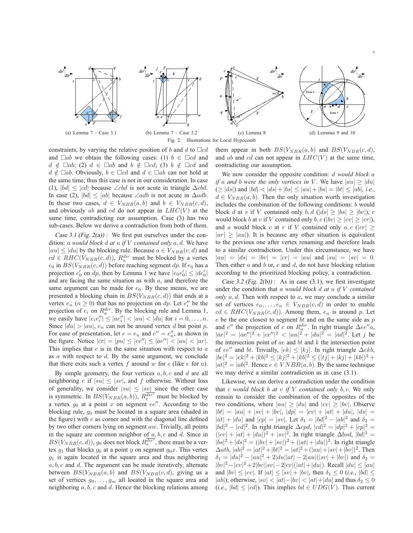

constraints, by varying the relative position of b and d to  $\Box cd$ and  $\Box ab$  we obtain the following cases: (1)  $b \in \Box cd$  and  $d \notin \Box ab$ ; (2)  $d \in \Box ab$  and  $b \notin \Box cd$ ; (3)  $b \notin \Box cd$  and  $d \notin \Box ab$ . Obviously,  $b \in \Box cd$  and  $d \in \Box ab$  can not hold at the same time; thus this case is not in our consideration. In case (1),  $|bd| \leq |cd|$  because ∠cbd is not acute in triangle  $\Delta c b d$ . In case (2),  $|bd| \le |ab|$  because ∠adb is not acute in  $\triangle$ adb. In these two cases,  $d \in V_{NBR}(a, b)$  and  $b \in V_{NBR}(c, d)$ , and obviously ab and cd do not appear in  $LHC(V)$  at the same time, contradicting our assumption. Case (3) has two sub-cases. Below we derive a contradiction from both of them.

Case 3.1 (Fig.  $2(a)$ ): We first put ourselves under the condition: a *would block* d *at* u *if* V *contained only* a, d. We have  $|au| \le |du|$  by the blocking rule. Because  $a \in V_{NBR}(c, d)$  and  $cd \in RHC(V_{NBR}(c, d)), R_a^{dir}$  must be blocked by a vertex  $e_0$  in  $BS(V_{NBR}(c, d))$  before reaching segment dp. If  $e_0$  has a projection  $e'_0$  on  $dp$ , then by Lemma 1 we have  $|e_0e'_0| \leq |de'_0|$ and are facing the same situation as with  $a$ , and therefore the same argument can be made for  $e_0$ . By these means, we are presented a blocking chain in  $BS(V_{NBR}(c, d))$  that ends at a vertex  $e_n$  ( $n \ge 0$ ) that has no projection on dp. Let  $e_i''$  be the projection of  $e_i$  on  $R_a^{dir}$ . By the blocking rule and Lemma 1, we easily have  $|e_i e_i''| \le |ae_i''| < |au| < |du|$  for  $i = 0, \ldots, n$ . Since  $|du| > |au|$ ,  $e_n$  can not be around vertex d but point p. For ease of presentation, let  $e = e_n$  and  $e'' = e''_n$ , as shown in the figure. Notice  $|cr| = |pu| \le |ee''| \le |ae''| < |au| < |ar|$ . This implies that  $c$  is in the same situation with respect to  $a$ as a with respect to d. By the same argument, we conclude that there exits such a vertex f around w for c (like  $e$  for  $a$ ).

By simple geometry, the four vertices  $a, b, c$  and  $d$  are all neighboring e if  $|su| \leq |sv|$ , and f otherwise. Without loss of generality, we consider  $|su| \leq |sv|$  since the other case is symmetric. In  $BS(V_{NBR}(a, b))$ ,  $R_e^{\overline{dir'}}$  must be blocked by a vertex  $g_0$  at a point x on segment  $ee''$ . According to the blocking rule,  $q_0$  must be located in a square area (shaded in the figure) with  $e$  as corner and with the diagonal line defined by two other corners lying on segment  $aw$ . Trivially, all points in the square are common neighbor of  $a, b, c$  and  $d$ . Since in  $BS(V_{NBR}(c, d)), g_0$  does not block  $R_e^{dir}$ , there must be a vertex  $g_1$  that blocks  $g_0$  at a point y on segment  $g_0x$ . This vertex  $g_1$  is again located in the square area and thus neighboring  $a, b, c$  and  $d$ . The argument can be made iteratively, alternate between  $BS(V_{NBR}(a, b)$  and  $BS(V_{NBR}(c, d))$ , giving us a set of vertices  $g_0, \ldots, g_m$  all located in the square area and neighboring  $a, b, c$  and  $d$ . Hence the blocking relations among

them appear in both  $BS(V_{NBR}(a, b)$  and  $BS(V_{NBR}(c, d))$ , and ab and cd can not appear in  $LHC(V)$  at the same time, contradicting our assumption.

We now consider the opposite condition: d *would block* a *if* a and *b* were the only vertices in V. We have  $|au| \ge |du|$  $(\geq |ds|)$  and  $|bd| < |ds| + |bs| \leq |au| + |bs| = |bt| \leq |ab|$ , *i.e.*,  $d \in V_{NBR}(a, b)$ . Then the only situation worth investigation includes the combination of the following conditions: b would block d at s if V contained only b, d  $(|ds| > |bs| > |bv|)$ , c would block b at v if V contained only b,  $c$  ( $|bv| > |cv| > |cr|$ ), and a would block c at r if V contained only  $a, c$  ( $|cr| >$  $|ar| > |au|$ ). It is because any other situation is equivalent to the previous one after vertex renaming and therefore leads to a similar contradiction. Under this circumstance, we have  $|au| = |ds| = |bv| = |cr| = |au|$  and  $|su| = |sv| = 0$ . Then either  $a$  and  $b$  or,  $c$  and  $d$ , do not have blocking relation according to the prioritized blocking policy, a contradiction.

Case 3.2 (Fig. 2(b)): As in case (3.1), we first investigate under the condition that a *would block* d *at* u *if* V *contained only* a, d. Then with respect to a, we may conclude a similar set of vertices  $e_0, \ldots, e_n \in V_{NBR}(c, d)$  in order to enable  $cd \in RHC(V_{NBR}(c, d))$ . Among them,  $e_n$  is around p. Let  $e$  be the one closest to segment bt and on the same side as  $p$ and  $e''$  the projection of e on  $R_a^{dir}$ . In right triangle  $\Delta ee''a$ ,  $|ae|^2 = |ae''|^2 + |ee''|^2 < |au|^2 + |du|^2 = |ad|^2$ . Let j be the intersection point of  $ae$  and  $bt$  and  $k$  the intersection point of ee″ and bt. Trivially,  $|ek| \leq |kj|$ . In right triangle  $\Delta ekb$ ,  $|be|^2 = |ek|^2 + |kb|^2 \le |kj|^2 + |kb|^2 \le (|tj| + |kj| + |kb|)^2 +$  $|at|^2 = |ab|^2$ . Hence  $e \in VNBR(a, b)$ . By the same technique we may derive a similar contradiction as in case (3.1).

Likewise, we can derive a contradiction under the condition that c *would block* b *at* v *if* V *contained only* b, c. We only remain to consider the combination of the opposites of the two conditions, where  $|au| \ge |du|$  and  $|cv| \ge |bv|$ . Observe  $|bt| = |au| + |sv| + |bv|, |dp| = |cv| + |at| + |du|, |ds| =$  $|at| + |du|$  and  $|cp| = |sv|$ . Let  $\delta_1 = |bd|^2 - |ab|^2$  and  $\delta_2 =$  $|bd|^2 - |cd|^2$ . In right triangle  $\Delta cpd$ ,  $|cd|^2 = |dp|^2 + |cp|^2 =$  $(|cv| + |at| + |du|)^2 + |sv|^2$ . In right triangle  $\Delta bsd$ ,  $|bd|^2 =$  $|bs|^2 + |ds|^2 = (|bv| + |sv|)^2 + (|at| + |du|)^2$ . In right triangle  $\Delta a t$ ,  $|ab|^2 = |at|^2 + |bt|^2 = |at|^2 + (|au| + |sv| + |bv|)^2$ . Then  $\delta_1 = |du|^2 - |au|^2 + 2|du||at| - 2|au|(|sv| + |bv|)$  and  $\delta_2 =$  $|bv|^2 - |cv|^2 + 2|bv||sv| - 2|cv|(|at|+|du|)$ . Recall  $|du| \le |au|$ and  $|bv| \leq |cv|$ . If  $|at| \leq |sv| + |bv|$ , then  $\delta_1 \leq 0$  (*i.e.*,  $|bd| \leq$ |ab|); otherwise,  $|sv| < |at| - |bv| < |at| + |du|$  and thus  $\delta_2 \leq 0$  $(i.e., |bd| \leq |cd|)$ . This implies  $bd \in UDG(V)$ . Thus current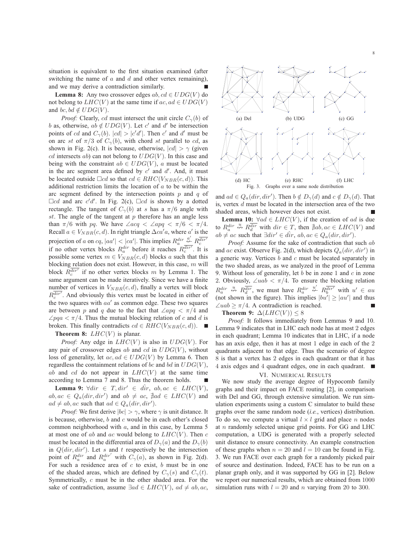situation is equivalent to the first situation examined (after switching the name of  $a$  and  $d$  and other vertex remaining), and we may derive a contradiction similarly.

**Lemma 8:** Any two crossover edges  $ab, cd \in UDG(V)$  do not belong to  $LHC(V)$  at the same time if  $ac, ad \in UDG(V)$ and bc, bd  $\notin UDG(V)$ .

*Proof:* Clearly, cd must intersect the unit circle  $C_{\gamma}(b)$  of b as, otherwise,  $ab \notin UDG(V)$ . Let c' and d' be intersection points of cd and  $C_{\gamma}(b)$ .  $|cd| > |c'd'|$ . Then c' and d' must be on arc st of  $\pi/3$  of  $C_{\gamma}(b)$ , with chord st parallel to cd, as shown in Fig. 2(c). It is because, otherwise,  $|cd| > \gamma$  (given cd intersects ab) can not belong to  $UDG(V)$ . In this case and being with the constraint  $ab \in UDG(V)$ , a must be located in the arc segment area defined by  $c'$  and  $d'$ . And, it must be located outside  $\Box cd$  so that  $cd \in RHC(V_{NBR}(c, d))$ . This additional restriction limits the location of  $a$  to be within the arc segment defined by the intersection points  $p$  and  $q$  of  $\Box$ cd and arc c'd'. In Fig. 2(c),  $\Box$ cd is shown by a dotted rectangle. The tangent of  $C_{\gamma}(b)$  at s has a  $\pi/6$  angle with st. The angle of the tangent at  $p$  therefore has an angle less than  $\pi/6$  with pq. We have  $\angle acq < \angle apq < \pi/6 < \pi/4$ . Recall  $a \in V_{NBR}(c, d)$ . In right triangle  $\Delta ca' a$ , where a' is the projection of a on cq,  $|aa'| < |ca'|$ . This implies  $R_a^{dir} \stackrel{a'}{\nleftrightarrow} R_c^{dir'}$ .<br>if no other vertex blocks  $R_a^{dir}$  before it reaches  $R_c^{dir'}$ . It is possible some vertex  $m \in V_{NBR}(c, d)$  blocks a such that this blocking relation does not exist. However, in this case,  $m$  will block  $R_c^{\overline{dir'}}$  if no other vertex blocks m by Lemma 1. The same argument can be made iteratively. Since we have a finite number of vertices in  $V_{NBR}(c, d)$ , finally a vertex will block  $R<sub>c</sub><sup>dir</sup>$ . And obviously this vertex must be located in either of the two squares with  $aa'$  as common edge. These two squares are between p and q due to the fact that  $\angle apq \lt \pi/4$  and  $\angle pqa < \pi/4$ . Thus the mutual blocking relation of c and d is broken. This finally contradicts  $cd \in RHC(V_{NBR}(c, d))$ . ■

#### **Theorem 8:**  $LHC(V)$  is planar.

*Proof:* Any edge in  $LHC(V)$  is also in  $UDG(V)$ . For any pair of crossover edges ab and cd in  $UDG(V)$ , without loss of generality, let  $ac, ad \in UDG(V)$  by Lemma 6. Then regardless the containment relations of bc and bd in  $UDG(V)$ , ab and cd do not appear in  $LHC(V)$  at the same time according to Lemma 7 and 8. Thus the theorem holds.

**Lemma 9:**  $\forall \text{dir} \in T, \text{dir}' \in \text{dir}, \text{ab}, \text{ac} \in LHC(V),$  $ab, ac \in Q_a(dr, dir')$  and  $ab \neq ac$ ,  $\frac{a}{a}ad \in LHC(V)$  and  $ad \neq ab, ac$  such that  $ad \in Q_a(dr, dir').$ 

*Proof:* We first derive  $|bc| > \gamma$ , where  $\gamma$  is unit distance. It is because, otherwise,  $b$  and  $c$  would be in each other's closed common neighborhood with a, and in this case, by Lemma 5 at most one of ab and ac would belong to  $LHC(V)$ . Then c must be located in the differential area of  $D_{\gamma}(a)$  and the  $D_{\gamma}(b)$ in  $Q(dr, dir')$ . Let s and t respectively be the intersection point of  $R_a^{dir'}$  and  $R_a^{dir'}$  with  $C_\gamma(a)$ , as shown in Fig. 2(d). For such a residence area of  $c$  to exist,  $b$  must be in one of the shaded areas, which are defined by  $C_{\gamma}(s)$  and  $C_{\gamma}(t)$ . Symmetrically, c must be in the other shaded area. For the sake of contradiction, assume  $∃ad ∈ LHC(V)$ ,  $ad ≠ ab$ , ac,



and  $ad \in Q_a(dr, dir')$ . Then  $b \notin D_{\gamma}(d)$  and  $c \notin D_{\gamma}(d)$ . That is, vertex  $d$  must be located in the intersection area of the two shaded areas, which however does not exist.

**Lemma 10:**  $\forall ad \in LHC(V)$ , if the creation of ad is due to  $R_a^{dir} \stackrel{u}{\leftrightarrow} R_{d}^{\overline{dir}}$  with  $dir \in T$ , then  $\neq ab, ac \in LHC(V)$  and  $ab \neq ac$  such that  $\exists dir' \in \hat{dir}$ ,  $ab, ac \in Q_a(dr, dir')$ .

*Proof:* Assume for the sake of contradiction that such ab and ac exist. Observe Fig. 2(d), which depicts  $Q_a(dr, dir')$  in a generic way. Vertices  $b$  and  $c$  must be located separately in the two shaded areas, as we analyzed in the proof of Lemma 9. Without loss of generality, let b be in zone 1 and  $c$  in zone 2. Obviously,  $\angle uab < \pi/4$ . To ensure the blocking relation  $R_a^{dir} \stackrel{u}{\leftrightarrow} R_d^{\overline{dir}}$ , we must have  $R_a^{dir} \stackrel{u'}{\leftrightarrow} R_b^{\overline{dir}'}$  with  $u' \in au$ (not shown in the figure). This implies  $|bu'| \ge |au'|$  and thus  $\angle uab$  >  $\pi/4$ . A contradiction is reached.

**Theorem 9:**  $\Delta(LHC(V)) \leq 8$ 

*Proof:* It follows immediately from Lemmas 9 and 10. Lemma 9 indicates that in LHC each node has at most 2 edges in each quadrant; Lemma 10 indicates that in LHC, if a node has an axis edge, then it has at most 1 edge in each of the 2 quadrants adjacent to that edge. Thus the scenario of degree 8 is that a vertex has 2 edges in each quadrant or that it has 4 axis edges and 4 quadrant edges, one in each quadrant.

#### VI. NUMERICAL RESULTS

We now study the average degree of Hypocomb family graphs and their impact on FACE routing [2], in comparison with Del and GG, through extensive simulation. We run simulation experiments using a custom C simulator to build these graphs over the same random node (*i.e.*, vertices) distribution. To do so, we compute a virtual  $l \times l$  grid and place n nodes at  $n$  randomly selected unique grid points. For GG and LHC computation, a UDG is generated with a properly selected unit distance to ensure connectivity. An example construction of these graphs when  $n = 20$  and  $l = 10$  can be found in Fig. 3. We run FACE over each graph for a randomly picked pair of source and destination. Indeed, FACE has to be run on a planar graph only, and it was supported by GG in [2]. Below we report our numerical results, which are obtained from 1000 simulation runs with  $l = 20$  and n varying from 20 to 300.